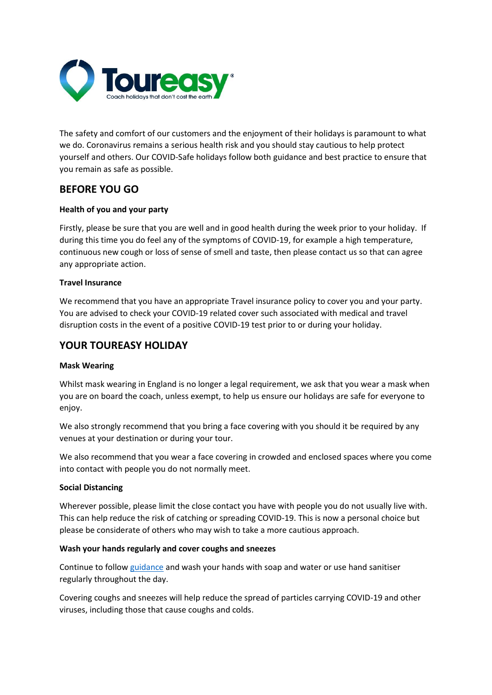

The safety and comfort of our customers and the enjoyment of their holidays is paramount to what we do. Coronavirus remains a serious health risk and you should stay cautious to help protect yourself and others. Our COVID-Safe holidays follow both guidance and best practice to ensure that you remain as safe as possible.

# **BEFORE YOU GO**

## **Health of you and your party**

Firstly, please be sure that you are well and in good health during the week prior to your holiday.  If during this time you do feel any of the symptoms of COVID-19, for example a high temperature, continuous new cough or loss of sense of smell and taste, then please contact us so that can agree any appropriate action.

## **Travel Insurance**

We recommend that you have an appropriate Travel insurance policy to cover you and your party. You are advised to check your COVID-19 related cover such associated with medical and travel disruption costs in the event of a positive COVID-19 test prior to or during your holiday.

# **YOUR TOUREASY HOLIDAY**

#### **Mask Wearing**

Whilst mask wearing in England is no longer a legal requirement, we ask that you wear a mask when you are on board the coach, unless exempt, to help us ensure our holidays are safe for everyone to enjoy.

We also strongly recommend that you bring a face covering with you should it be required by any venues at your destination or during your tour.

We also recommend that you wear a face covering in crowded and enclosed spaces where you come into contact with people you do not normally meet.

#### **Social Distancing**

Wherever possible, please limit the close contact you have with people you do not usually live with. This can help reduce the risk of catching or spreading COVID-19. This is now a personal choice but please be considerate of others who may wish to take a more cautious approach.

#### **Wash your hands regularly and cover coughs and sneezes**

Continue to follo[w guidance](https://www.gov.uk/guidance/covid-19-coronavirus-restrictions-what-you-can-and-cannot-do) and wash your hands with soap and water or use hand sanitiser regularly throughout the day.

Covering coughs and sneezes will help reduce the spread of particles carrying COVID-19 and other viruses, including those that cause coughs and colds.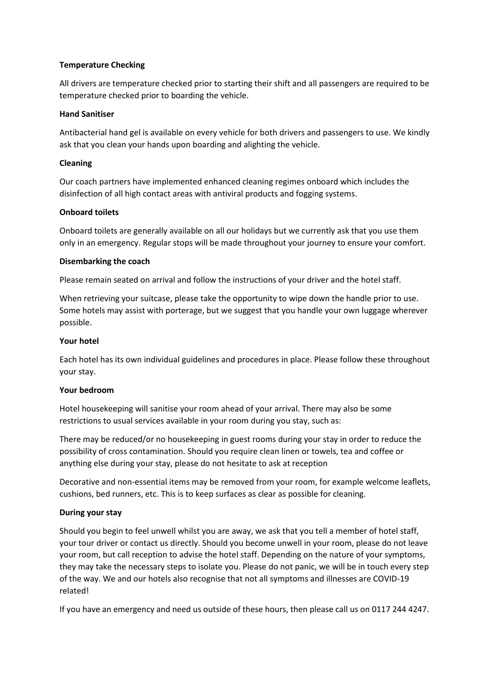### **Temperature Checking**

All drivers are temperature checked prior to starting their shift and all passengers are required to be temperature checked prior to boarding the vehicle.

## **Hand Sanitiser**

Antibacterial hand gel is available on every vehicle for both drivers and passengers to use. We kindly ask that you clean your hands upon boarding and alighting the vehicle.

## **Cleaning**

Our coach partners have implemented enhanced cleaning regimes onboard which includes the disinfection of all high contact areas with antiviral products and fogging systems.

## **Onboard toilets**

Onboard toilets are generally available on all our holidays but we currently ask that you use them only in an emergency. Regular stops will be made throughout your journey to ensure your comfort.

#### **Disembarking the coach**

Please remain seated on arrival and follow the instructions of your driver and the hotel staff.

When retrieving your suitcase, please take the opportunity to wipe down the handle prior to use. Some hotels may assist with porterage, but we suggest that you handle your own luggage wherever possible.

## **Your hotel**

Each hotel has its own individual guidelines and procedures in place. Please follow these throughout your stay.

#### **Your bedroom**

Hotel housekeeping will sanitise your room ahead of your arrival. There may also be some restrictions to usual services available in your room during you stay, such as:

There may be reduced/or no housekeeping in guest rooms during your stay in order to reduce the possibility of cross contamination. Should you require clean linen or towels, tea and coffee or anything else during your stay, please do not hesitate to ask at reception

Decorative and non-essential items may be removed from your room, for example welcome leaflets, cushions, bed runners, etc. This is to keep surfaces as clear as possible for cleaning.

## **During your stay**

Should you begin to feel unwell whilst you are away, we ask that you tell a member of hotel staff, your tour driver or contact us directly. Should you become unwell in your room, please do not leave your room, but call reception to advise the hotel staff. Depending on the nature of your symptoms, they may take the necessary steps to isolate you. Please do not panic, we will be in touch every step of the way. We and our hotels also recognise that not all symptoms and illnesses are COVID-19 related!

If you have an emergency and need us outside of these hours, then please call us on 0117 244 4247.